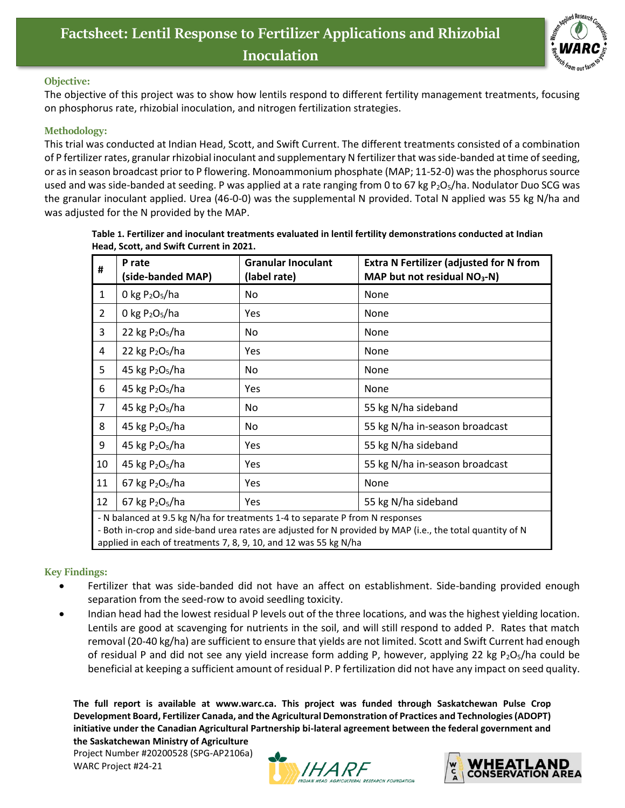## **Factsheet: Lentil Response to Fertilizer Applications and Rhizobial Inoculation**



## **Objective:**

The objective of this project was to show how lentils respond to different fertility management treatments, focusing on phosphorus rate, rhizobial inoculation, and nitrogen fertilization strategies.

## **Methodology:**

This trial was conducted at Indian Head, Scott, and Swift Current. The different treatments consisted of a combination of P fertilizer rates, granular rhizobial inoculant and supplementary N fertilizer that was side-banded at time of seeding, or as in season broadcast prior to P flowering. Monoammonium phosphate (MAP; 11-52-0) was the phosphorus source used and was side-banded at seeding. P was applied at a rate ranging from 0 to 67 kg P<sub>2</sub>O<sub>5</sub>/ha. Nodulator Duo SCG was the granular inoculant applied. Urea (46-0-0) was the supplemental N provided. Total N applied was 55 kg N/ha and was adjusted for the N provided by the MAP.

| #                                                                             | P rate<br>(side-banded MAP) | <b>Granular Inoculant</b><br>(label rate) | <b>Extra N Fertilizer (adjusted for N from</b><br>MAP but not residual NO <sub>3</sub> -N) |
|-------------------------------------------------------------------------------|-----------------------------|-------------------------------------------|--------------------------------------------------------------------------------------------|
| $\mathbf{1}$                                                                  | 0 kg $P_2O_5/ha$            | No                                        | None                                                                                       |
| $\overline{2}$                                                                | 0 kg $P_2O_5/ha$            | Yes                                       | None                                                                                       |
| 3                                                                             | 22 kg $P_2O_5/ha$           | No                                        | None                                                                                       |
| 4                                                                             | 22 kg $P_2O_5/ha$           | Yes                                       | None                                                                                       |
| 5                                                                             | 45 kg $P2O5/ha$             | No                                        | None                                                                                       |
| 6                                                                             | 45 kg $P_2O_5/ha$           | Yes                                       | None                                                                                       |
| $\overline{7}$                                                                | 45 kg $P2O5/ha$             | No                                        | 55 kg N/ha sideband                                                                        |
| 8                                                                             | 45 kg $P_2O_5/ha$           | No                                        | 55 kg N/ha in-season broadcast                                                             |
| 9                                                                             | 45 kg $P_2O_5/ha$           | Yes                                       | 55 kg N/ha sideband                                                                        |
| 10                                                                            | 45 kg $P_2O_5/ha$           | Yes                                       | 55 kg N/ha in-season broadcast                                                             |
| 11                                                                            | 67 kg $P_2O_5/ha$           | Yes                                       | None                                                                                       |
| 12                                                                            | 67 kg $P_2O_5/ha$           | Yes                                       | 55 kg N/ha sideband                                                                        |
| - N balanced at 9.5 kg N/ha for treatments 1-4 to separate P from N responses |                             |                                           |                                                                                            |

**Table 1. Fertilizer and inoculant treatments evaluated in lentil fertility demonstrations conducted at Indian Head, Scott, and Swift Current in 2021.**

- Both in-crop and side-band urea rates are adjusted for N provided by MAP (i.e., the total quantity of N applied in each of treatments 7, 8, 9, 10, and 12 was 55 kg N/ha

## **Key Findings:**

- Fertilizer that was side-banded did not have an affect on establishment. Side-banding provided enough separation from the seed-row to avoid seedling toxicity.
- Indian head had the lowest residual P levels out of the three locations, and was the highest yielding location. Lentils are good at scavenging for nutrients in the soil, and will still respond to added P. Rates that match removal (20-40 kg/ha) are sufficient to ensure that yields are not limited. Scott and Swift Current had enough of residual P and did not see any yield increase form adding P, however, applying 22 kg P<sub>2</sub>O<sub>5</sub>/ha could be beneficial at keeping a sufficient amount of residual P. P fertilization did not have any impact on seed quality.

**The full report is available at [www.warc.ca.](http://www.warc.ca/) This project was funded through Saskatchewan Pulse Crop Development Board, Fertilizer Canada, and the Agricultural Demonstration of Practices and Technologies (ADOPT) initiative under the Canadian Agricultural Partnership bi-lateral agreement between the federal government and the Saskatchewan Ministry of Agriculture**